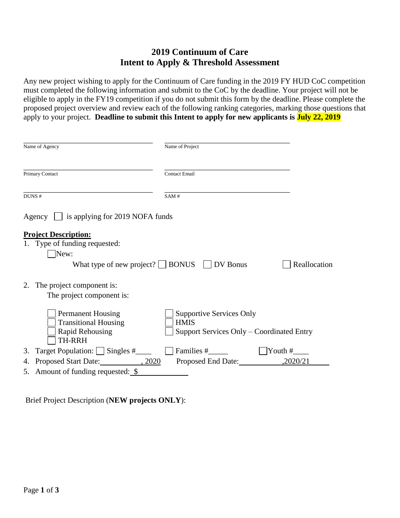# **2019 Continuum of Care Intent to Apply & Threshold Assessment**

Any new project wishing to apply for the Continuum of Care funding in the 2019 FY HUD CoC competition must completed the following information and submit to the CoC by the deadline. Your project will not be eligible to apply in the FY19 competition if you do not submit this form by the deadline. Please complete the proposed project overview and review each of the following ranking categories, marking those questions that apply to your project. **Deadline to submit this Intent to apply for new applicants is July 22, 2019** 

|    | Name of Agency                                                                                                                 | Name of Project                                                                             |                  |
|----|--------------------------------------------------------------------------------------------------------------------------------|---------------------------------------------------------------------------------------------|------------------|
|    | Primary Contact                                                                                                                | <b>Contact Email</b>                                                                        |                  |
|    | DUNS #                                                                                                                         | SAM#                                                                                        |                  |
|    | Agency $\Box$ is applying for 2019 NOFA funds                                                                                  |                                                                                             |                  |
|    | <b>Project Description:</b><br>1. Type of funding requested:<br>New:<br>What type of new project? $\Box$ BONUS $\Box$ DV Bonus |                                                                                             | Reallocation     |
| 2. | The project component is:<br>The project component is:                                                                         |                                                                                             |                  |
|    | <b>Permanent Housing</b><br><b>Transitional Housing</b><br><b>Rapid Rehousing</b><br>TH-RRH                                    | <b>Supportive Services Only</b><br><b>HMIS</b><br>Support Services Only – Coordinated Entry |                  |
| 3. | Target Population: Singles #                                                                                                   | Families #                                                                                  | $\gamma$ Youth # |
| 4. | Proposed Start Date: 3.2020                                                                                                    | Proposed End Date:                                                                          | ,2020/21         |
|    | 5. Amount of funding requested: $\frac{\$}{}$                                                                                  |                                                                                             |                  |

Brief Project Description (**NEW projects ONLY**):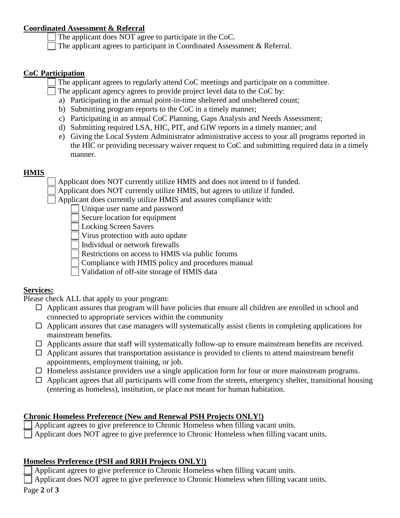#### **Coordinated Assessment & Referral**

- The applicant does NOT agree to participate in the CoC.
- The applicant agrees to participant in Coordinated Assessment & Referral.

#### **CoC Participation**

The applicant agrees to regularly attend CoC meetings and participate on a committee.

- The applicant agency agrees to provide project level data to the CoC by:
	- a) Participating in the annual point-in-time sheltered and unsheltered count;
	- b) Submitting program reports to the CoC in a timely manner;
	- c) Participating in an annual CoC Planning, Gaps Analysis and Needs Assessment;
	- d) Submitting required LSA, HIC, PIT, and GIW reports in a timely manner; and
	- e) Giving the Local System Administrator administrative access to your all programs reported in the HIC or providing necessary waiver request to CoC and submitting required data in a timely manner.

# **HMIS**

Applicant does NOT currently utilize HMIS and does not intend to if funded.

Applicant does NOT currently utilize HMIS, but agrees to utilize if funded.

Applicant does currently utilize HMIS and assures compliance with:

- Unique user name and password
- Secure location for equipment
- Locking Screen Savers
- Virus protection with auto update
- Individual or network firewalls
- Restrictions on access to HMIS via public forums
- Compliance with HMIS policy and procedures manual
- Validation of off-site storage of HMIS data

# **Services:**

Please check ALL that apply to your program:

- $\Box$  Applicant assures that program will have policies that ensure all children are enrolled in school and connected to appropriate services within the community
- $\Box$  Applicant assures that case managers will systematically assist clients in completing applications for mainstream benefits.
- $\Box$  Applicants assure that staff will systematically follow-up to ensure mainstream benefits are received.
- $\Box$  Applicant assures that transportation assistance is provided to clients to attend mainstream benefit appointments, employment training, or job.
- $\Box$  Homeless assistance providers use a single application form for four or more mainstream programs.
- $\Box$  Applicant agrees that all participants will come from the streets, emergency shelter, transitional housing (entering as homeless), institution, or place not meant for human habitation.

# **Chronic Homeless Preference (New and Renewal PSH Projects ONLY!)**

- Applicant agrees to give preference to Chronic Homeless when filling vacant units.
- Applicant does NOT agree to give preference to Chronic Homeless when filling vacant units.

# **Homeless Preference (PSH and RRH Projects ONLY!)**

Applicant agrees to give preference to Chronic Homeless when filling vacant units.

 $\Box$  Applicant does NOT agree to give preference to Chronic Homeless when filling vacant units.